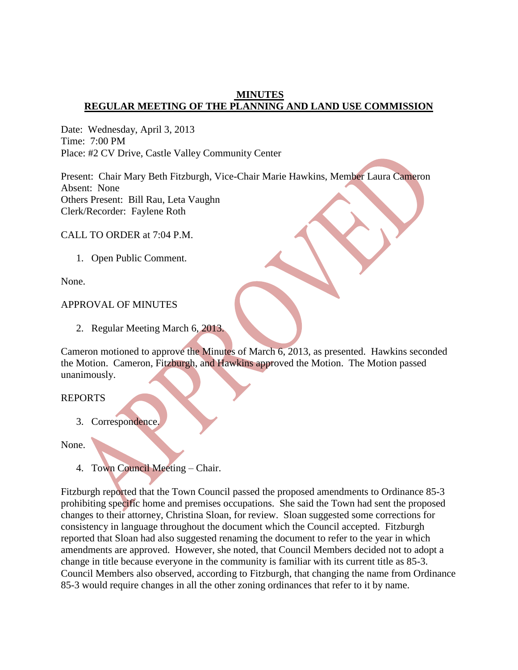## **MINUTES REGULAR MEETING OF THE PLANNING AND LAND USE COMMISSION**

Date: Wednesday, April 3, 2013 Time: 7:00 PM Place: #2 CV Drive, Castle Valley Community Center

Present: Chair Mary Beth Fitzburgh, Vice-Chair Marie Hawkins, Member Laura Cameron Absent: None Others Present: Bill Rau, Leta Vaughn Clerk/Recorder: Faylene Roth

CALL TO ORDER at 7:04 P.M.

1. Open Public Comment.

None.

#### APPROVAL OF MINUTES

2. Regular Meeting March 6, 2013.

Cameron motioned to approve the Minutes of March 6, 2013, as presented. Hawkins seconded the Motion. Cameron, Fitzburgh, and Hawkins approved the Motion. The Motion passed unanimously.

#### REPORTS

3. Correspondence.

None.

4. Town Council Meeting – Chair.

Fitzburgh reported that the Town Council passed the proposed amendments to Ordinance 85-3 prohibiting specific home and premises occupations. She said the Town had sent the proposed changes to their attorney, Christina Sloan, for review. Sloan suggested some corrections for consistency in language throughout the document which the Council accepted. Fitzburgh reported that Sloan had also suggested renaming the document to refer to the year in which amendments are approved. However, she noted, that Council Members decided not to adopt a change in title because everyone in the community is familiar with its current title as 85-3. Council Members also observed, according to Fitzburgh, that changing the name from Ordinance 85-3 would require changes in all the other zoning ordinances that refer to it by name.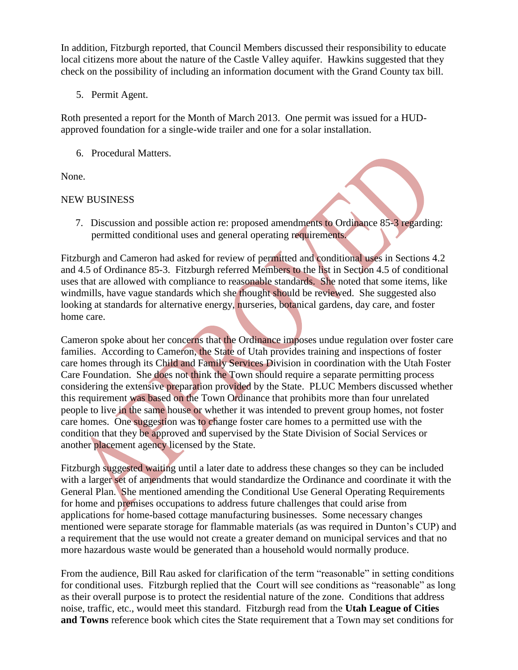In addition, Fitzburgh reported, that Council Members discussed their responsibility to educate local citizens more about the nature of the Castle Valley aquifer. Hawkins suggested that they check on the possibility of including an information document with the Grand County tax bill.

5. Permit Agent.

Roth presented a report for the Month of March 2013. One permit was issued for a HUDapproved foundation for a single-wide trailer and one for a solar installation.

6. Procedural Matters.

None.

# NEW BUSINESS

7. Discussion and possible action re: proposed amendments to Ordinance 85-3 regarding: permitted conditional uses and general operating requirements.

Fitzburgh and Cameron had asked for review of permitted and conditional uses in Sections 4.2 and 4.5 of Ordinance 85-3. Fitzburgh referred Members to the list in Section 4.5 of conditional uses that are allowed with compliance to reasonable standards. She noted that some items, like windmills, have vague standards which she thought should be reviewed. She suggested also looking at standards for alternative energy, nurseries, botanical gardens, day care, and foster home care.

Cameron spoke about her concerns that the Ordinance imposes undue regulation over foster care families. According to Cameron, the State of Utah provides training and inspections of foster care homes through its Child and Family Services Division in coordination with the Utah Foster Care Foundation. She does not think the Town should require a separate permitting process considering the extensive preparation provided by the State. PLUC Members discussed whether this requirement was based on the Town Ordinance that prohibits more than four unrelated people to live in the same house or whether it was intended to prevent group homes, not foster care homes. One suggestion was to change foster care homes to a permitted use with the condition that they be approved and supervised by the State Division of Social Services or another placement agency licensed by the State.

Fitzburgh suggested waiting until a later date to address these changes so they can be included with a larger set of amendments that would standardize the Ordinance and coordinate it with the General Plan. She mentioned amending the Conditional Use General Operating Requirements for home and premises occupations to address future challenges that could arise from applications for home-based cottage manufacturing businesses. Some necessary changes mentioned were separate storage for flammable materials (as was required in Dunton's CUP) and a requirement that the use would not create a greater demand on municipal services and that no more hazardous waste would be generated than a household would normally produce.

From the audience, Bill Rau asked for clarification of the term "reasonable" in setting conditions for conditional uses. Fitzburgh replied that the Court will see conditions as "reasonable" as long as their overall purpose is to protect the residential nature of the zone. Conditions that address noise, traffic, etc., would meet this standard. Fitzburgh read from the **Utah League of Cities and Towns** reference book which cites the State requirement that a Town may set conditions for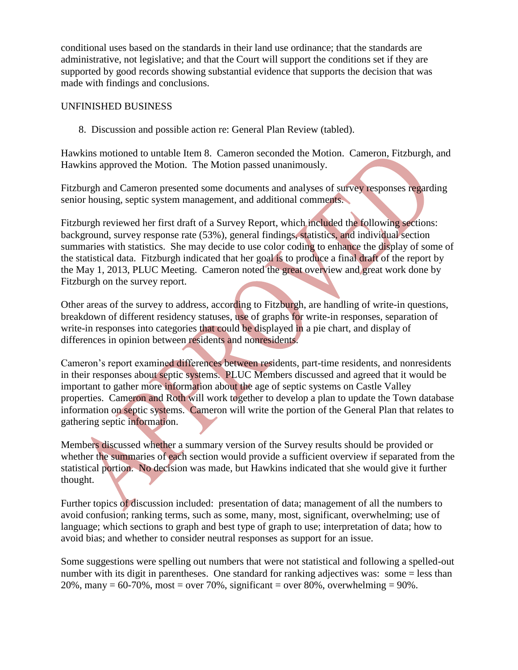conditional uses based on the standards in their land use ordinance; that the standards are administrative, not legislative; and that the Court will support the conditions set if they are supported by good records showing substantial evidence that supports the decision that was made with findings and conclusions.

## UNFINISHED BUSINESS

8. Discussion and possible action re: General Plan Review (tabled).

Hawkins motioned to untable Item 8. Cameron seconded the Motion. Cameron, Fitzburgh, and Hawkins approved the Motion. The Motion passed unanimously.

Fitzburgh and Cameron presented some documents and analyses of survey responses regarding senior housing, septic system management, and additional comments.

Fitzburgh reviewed her first draft of a Survey Report, which included the following sections: background, survey response rate (53%), general findings, statistics, and individual section summaries with statistics. She may decide to use color coding to enhance the display of some of the statistical data. Fitzburgh indicated that her goal is to produce a final draft of the report by the May 1, 2013, PLUC Meeting. Cameron noted the great overview and great work done by Fitzburgh on the survey report.

Other areas of the survey to address, according to Fitzburgh, are handling of write-in questions, breakdown of different residency statuses, use of graphs for write-in responses, separation of write-in responses into categories that could be displayed in a pie chart, and display of differences in opinion between residents and nonresidents.

Cameron's report examined differences between residents, part-time residents, and nonresidents in their responses about septic systems. PLUC Members discussed and agreed that it would be important to gather more information about the age of septic systems on Castle Valley properties. Cameron and Roth will work together to develop a plan to update the Town database information on septic systems. Cameron will write the portion of the General Plan that relates to gathering septic information.

Members discussed whether a summary version of the Survey results should be provided or whether the summaries of each section would provide a sufficient overview if separated from the statistical portion. No decision was made, but Hawkins indicated that she would give it further thought.

Further topics of discussion included: presentation of data; management of all the numbers to avoid confusion; ranking terms, such as some, many, most, significant, overwhelming; use of language; which sections to graph and best type of graph to use; interpretation of data; how to avoid bias; and whether to consider neutral responses as support for an issue.

Some suggestions were spelling out numbers that were not statistical and following a spelled-out number with its digit in parentheses. One standard for ranking adjectives was: some = less than 20%, many =  $60-70$ %, most = over 70%, significant = over 80%, overwhelming =  $90$ %.